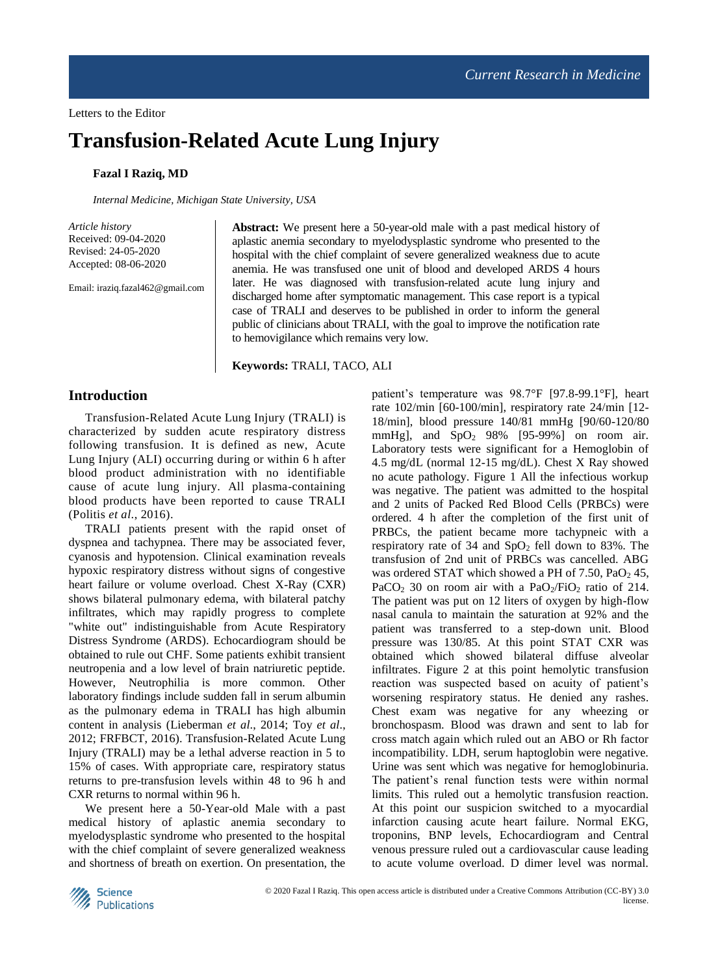# **Transfusion-Related Acute Lung Injury**

## **Fazal I Raziq, MD**

*Internal Medicine, Michigan State University, USA*

*Article history* Received: 09-04-2020 Revised: 24-05-2020 Accepted: 08-06-2020

Email: iraziq.fazal462@gmail.com

**Abstract:** We present here a 50-year-old male with a past medical history of aplastic anemia secondary to myelodysplastic syndrome who presented to the hospital with the chief complaint of severe generalized weakness due to acute anemia. He was transfused one unit of blood and developed ARDS 4 hours later. He was diagnosed with transfusion-related acute lung injury and discharged home after symptomatic management. This case report is a typical case of TRALI and deserves to be published in order to inform the general public of clinicians about TRALI, with the goal to improve the notification rate to hemovigilance which remains very low.

**Keywords:** TRALI, TACO, ALI

## **Introduction**

Transfusion-Related Acute Lung Injury (TRALI) is characterized by sudden acute respiratory distress following transfusion. It is defined as new, Acute Lung Injury (ALI) occurring during or within 6 h after blood product administration with no identifiable cause of acute lung injury. All plasma-containing blood products have been reported to cause TRALI (Politis *et al*., 2016).

TRALI patients present with the rapid onset of dyspnea and tachypnea. There may be associated fever, cyanosis and hypotension. Clinical examination reveals hypoxic respiratory distress without signs of congestive heart failure or volume overload. Chest X-Ray (CXR) shows bilateral pulmonary edema, with bilateral patchy infiltrates, which may rapidly progress to complete "white out" indistinguishable from Acute Respiratory Distress Syndrome (ARDS). Echocardiogram should be obtained to rule out CHF. Some patients exhibit transient neutropenia and a low level of brain natriuretic peptide. However, Neutrophilia is more common. Other laboratory findings include sudden fall in serum albumin as the pulmonary edema in TRALI has high albumin content in analysis (Lieberman *et al*., 2014; Toy *et al*., 2012; FRFBCT, 2016). Transfusion-Related Acute Lung Injury (TRALI) may be a lethal adverse reaction in 5 to 15% of cases. With appropriate care, respiratory status returns to pre-transfusion levels within 48 to 96 h and CXR returns to normal within 96 h.

We present here a 50-Year-old Male with a past medical history of aplastic anemia secondary to myelodysplastic syndrome who presented to the hospital with the chief complaint of severe generalized weakness and shortness of breath on exertion. On presentation, the

patient's temperature was 98.7°F [97.8-99.1°F], heart rate 102/min [60-100/min], respiratory rate 24/min [12- 18/min], blood pressure 140/81 mmHg [90/60-120/80 mmHg], and  $SpO<sub>2</sub>$  98% [95-99%] on room air. Laboratory tests were significant for a Hemoglobin of 4.5 mg/dL (normal 12-15 mg/dL). Chest X Ray showed no acute pathology. Figure 1 All the infectious workup was negative. The patient was admitted to the hospital and 2 units of Packed Red Blood Cells (PRBCs) were ordered. 4 h after the completion of the first unit of PRBCs, the patient became more tachypneic with a respiratory rate of 34 and  $SpO<sub>2</sub>$  fell down to 83%. The transfusion of 2nd unit of PRBCs was cancelled. ABG was ordered STAT which showed a PH of  $7.50$ , PaO<sub>2</sub> 45, PaCO<sub>2</sub> 30 on room air with a PaO<sub>2</sub>/FiO<sub>2</sub> ratio of 214. The patient was put on 12 liters of oxygen by high-flow nasal canula to maintain the saturation at 92% and the patient was transferred to a step-down unit. Blood pressure was 130/85. At this point STAT CXR was obtained which showed bilateral diffuse alveolar infiltrates. Figure 2 at this point hemolytic transfusion reaction was suspected based on acuity of patient's worsening respiratory status. He denied any rashes. Chest exam was negative for any wheezing or bronchospasm. Blood was drawn and sent to lab for cross match again which ruled out an ABO or Rh factor incompatibility. LDH, serum haptoglobin were negative. Urine was sent which was negative for hemoglobinuria. The patient's renal function tests were within normal limits. This ruled out a hemolytic transfusion reaction. At this point our suspicion switched to a myocardial infarction causing acute heart failure. Normal EKG, troponins, BNP levels, Echocardiogram and Central venous pressure ruled out a cardiovascular cause leading to acute volume overload. D dimer level was normal.

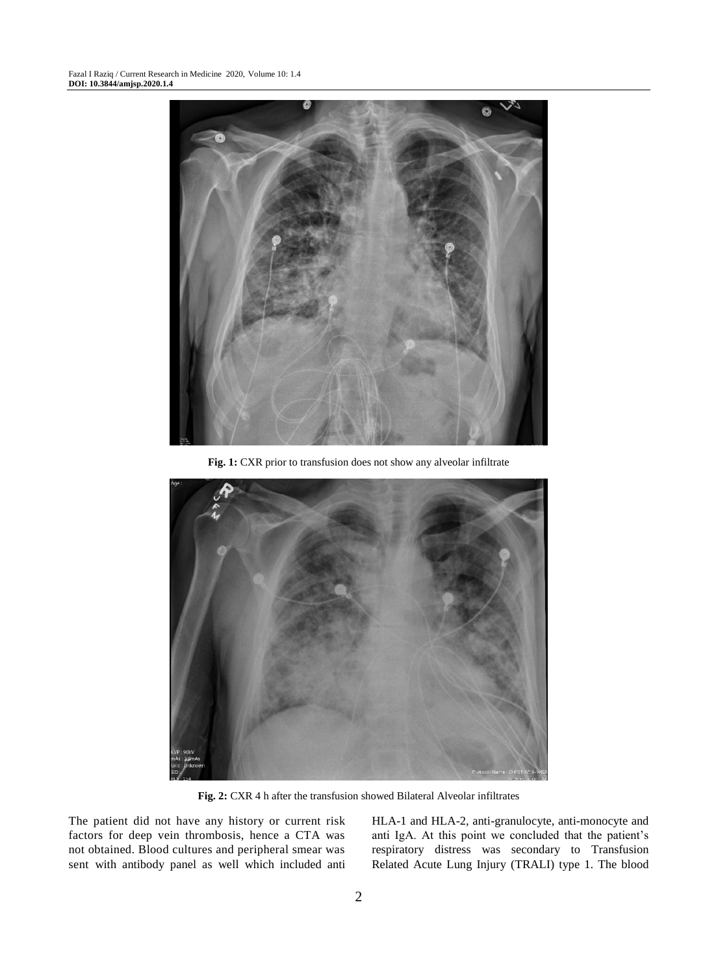

**Fig. 1:** CXR prior to transfusion does not show any alveolar infiltrate



**Fig. 2:** CXR 4 h after the transfusion showed Bilateral Alveolar infiltrates

The patient did not have any history or current risk factors for deep vein thrombosis, hence a CTA was not obtained. Blood cultures and peripheral smear was sent with antibody panel as well which included anti HLA-1 and HLA-2, anti-granulocyte, anti-monocyte and anti IgA. At this point we concluded that the patient's respiratory distress was secondary to Transfusion Related Acute Lung Injury (TRALI) type 1. The blood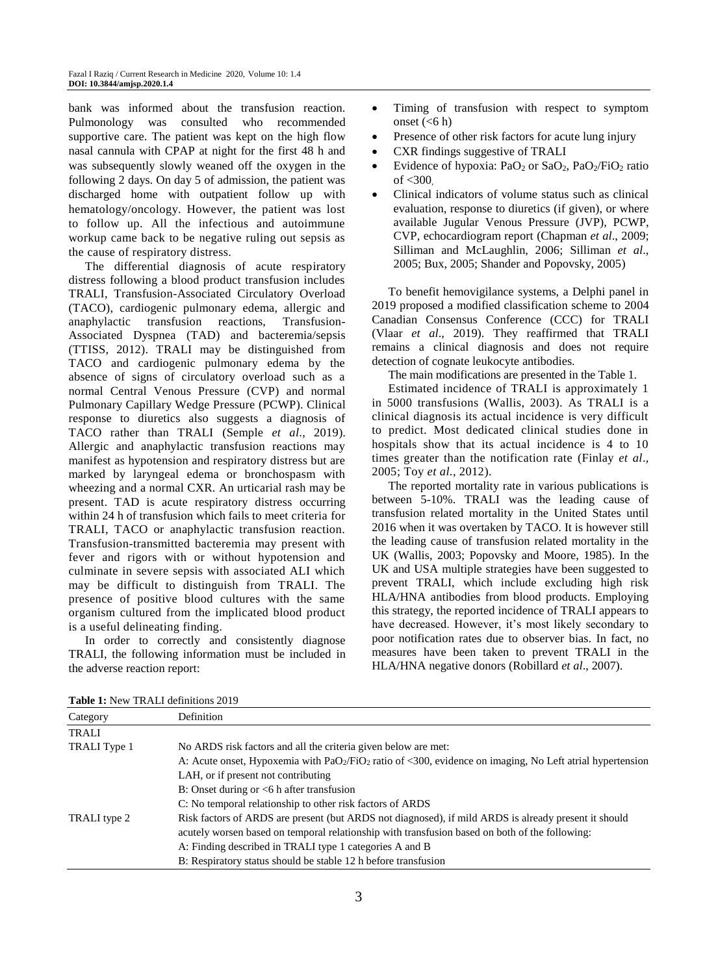bank was informed about the transfusion reaction. Pulmonology was consulted who recommended supportive care. The patient was kept on the high flow nasal cannula with CPAP at night for the first 48 h and was subsequently slowly weaned off the oxygen in the following 2 days. On day 5 of admission, the patient was discharged home with outpatient follow up with hematology/oncology. However, the patient was lost to follow up. All the infectious and autoimmune workup came back to be negative ruling out sepsis as the cause of respiratory distress.

The differential diagnosis of acute respiratory distress following a blood product transfusion includes TRALI, Transfusion-Associated Circulatory Overload (TACO), cardiogenic pulmonary edema, allergic and anaphylactic transfusion reactions, Transfusion-Associated Dyspnea (TAD) and bacteremia/sepsis (TTISS, 2012). TRALI may be distinguished from TACO and cardiogenic pulmonary edema by the absence of signs of circulatory overload such as a normal Central Venous Pressure (CVP) and normal Pulmonary Capillary Wedge Pressure (PCWP). Clinical response to diuretics also suggests a diagnosis of TACO rather than TRALI (Semple *et al*., 2019). Allergic and anaphylactic transfusion reactions may manifest as hypotension and respiratory distress but are marked by laryngeal edema or bronchospasm with wheezing and a normal CXR. An urticarial rash may be present. TAD is acute respiratory distress occurring within 24 h of transfusion which fails to meet criteria for TRALI, TACO or anaphylactic transfusion reaction. Transfusion-transmitted bacteremia may present with fever and rigors with or without hypotension and culminate in severe sepsis with associated ALI which may be difficult to distinguish from TRALI. The presence of positive blood cultures with the same organism cultured from the implicated blood product is a useful delineating finding.

In order to correctly and consistently diagnose TRALI, the following information must be included in the adverse reaction report:

- Timing of transfusion with respect to symptom onset  $(<6 h)$
- Presence of other risk factors for acute lung injury
- CXR findings suggestive of TRALI
- Evidence of hypoxia: PaO<sub>2</sub> or SaO<sub>2</sub>, PaO<sub>2</sub>/FiO<sub>2</sub> ratio of <300,
- Clinical indicators of volume status such as clinical evaluation, response to diuretics (if given), or where available Jugular Venous Pressure (JVP), PCWP, CVP, echocardiogram report (Chapman *et al*., 2009; Silliman and McLaughlin, 2006; Silliman *et al*., 2005; Bux, 2005; Shander and Popovsky, 2005)

To benefit hemovigilance systems, a Delphi panel in 2019 proposed a modified classification scheme to 2004 Canadian Consensus Conference (CCC) for TRALI (Vlaar *et al*., 2019). They reaffirmed that TRALI remains a clinical diagnosis and does not require detection of cognate leukocyte antibodies.

The main modifications are presented in the Table 1.

Estimated incidence of TRALI is approximately 1 in 5000 transfusions (Wallis, 2003). As TRALI is a clinical diagnosis its actual incidence is very difficult to predict. Most dedicated clinical studies done in hospitals show that its actual incidence is 4 to 10 times greater than the notification rate (Finlay *et al*., 2005; Toy *et al*., 2012).

The reported mortality rate in various publications is between 5-10%. TRALI was the leading cause of transfusion related mortality in the United States until 2016 when it was overtaken by TACO. It is however still the leading cause of transfusion related mortality in the UK (Wallis, 2003; Popovsky and Moore, 1985). In the UK and USA multiple strategies have been suggested to prevent TRALI, which include excluding high risk HLA/HNA antibodies from blood products. Employing this strategy, the reported incidence of TRALI appears to have decreased. However, it's most likely secondary to poor notification rates due to observer bias. In fact, no measures have been taken to prevent TRALI in the HLA/HNA negative donors (Robillard *et al*., 2007).

| Category            | Definition                                                                                                   |
|---------------------|--------------------------------------------------------------------------------------------------------------|
| <b>TRALI</b>        |                                                                                                              |
| <b>TRALI</b> Type 1 | No ARDS risk factors and all the criteria given below are met:                                               |
|                     | A: Acute onset, Hypoxemia with $PaO_2/FiO_2$ ratio of <300, evidence on imaging, No Left atrial hypertension |
|                     | LAH, or if present not contributing                                                                          |
|                     | B: Onset during or $\leq 6$ h after transfusion                                                              |
|                     | C: No temporal relationship to other risk factors of ARDS                                                    |
| TRALI type 2        | Risk factors of ARDS are present (but ARDS not diagnosed), if mild ARDS is already present it should         |
|                     | acutely worsen based on temporal relationship with transfusion based on both of the following:               |
|                     | A: Finding described in TRALI type 1 categories A and B                                                      |
|                     | B: Respiratory status should be stable 12 h before transfusion                                               |

**Table 1:** New TRALI definitions 2019